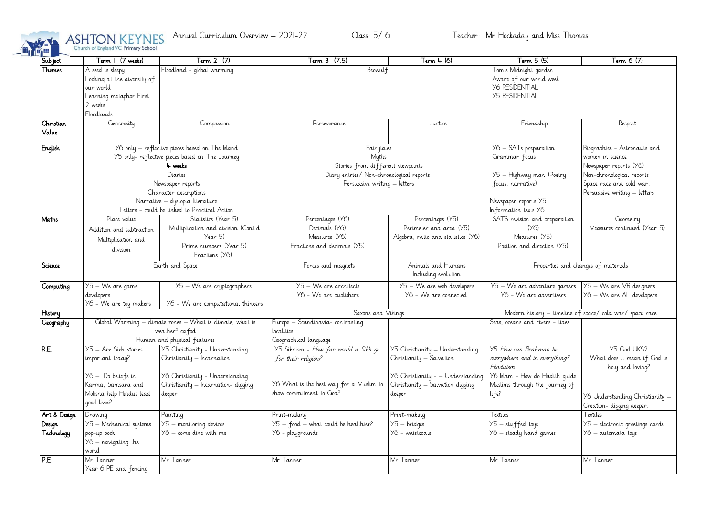

| Sub ject             | Term 1 (7 weeks)                                                                                                                                                                                                                                            | Term 2 (7)                                                                                                                                       | Term 3 (7.5)                                                                                                                         | Term 4 (6)                                                                                                                                      | Term 5 (5)                                                                                                                                       | Term 6 (7)                                                                                                                                                           |
|----------------------|-------------------------------------------------------------------------------------------------------------------------------------------------------------------------------------------------------------------------------------------------------------|--------------------------------------------------------------------------------------------------------------------------------------------------|--------------------------------------------------------------------------------------------------------------------------------------|-------------------------------------------------------------------------------------------------------------------------------------------------|--------------------------------------------------------------------------------------------------------------------------------------------------|----------------------------------------------------------------------------------------------------------------------------------------------------------------------|
| Themes               | Floodland - global warming<br>A seed is sleepy<br>Looking at the diversity of<br>our world.<br>Learning metaphor First<br>2 weeks                                                                                                                           |                                                                                                                                                  | Beowulf                                                                                                                              |                                                                                                                                                 | Tom's Midnight garden.<br>Aware of our world week<br><b>Y6 RESIDENTIAL</b><br><b>Y5 RESIDENTIAL</b>                                              |                                                                                                                                                                      |
|                      | Floodlands                                                                                                                                                                                                                                                  |                                                                                                                                                  |                                                                                                                                      |                                                                                                                                                 |                                                                                                                                                  |                                                                                                                                                                      |
| Christian<br>Value   | Generosity                                                                                                                                                                                                                                                  | Compassion                                                                                                                                       | Perseverance                                                                                                                         | Justice                                                                                                                                         | Friendship                                                                                                                                       | Respect                                                                                                                                                              |
| English              | Y6 only - reflective pieces based on The Island<br>Y5 only- reflective pieces based on The Journey<br>4 weeks<br>Diaries<br>Newspaper reports<br>Character descriptions<br>Narrative - dystopia literature<br>Letters - could be linked to Practical Action |                                                                                                                                                  | Fairytales<br>Myths<br>Stories from different viewpoints<br>Diary entries/ Non-chronological reports<br>Persuasive writing – letters |                                                                                                                                                 | Y6 - SATs preparation<br>Grammar focus<br>Y5 - Highway man (Poetry<br>focus, narrative)<br>Newspaper reports Y5<br>Information texts Y6          | Biographies - Astronauts and<br>women in science.<br>Newspaper reports (Y6)<br>Non-chronological reports<br>Space race and cold war.<br>Persuasive writing – letters |
| Maths                | Place value<br>Addition and subtraction<br>Multiplication and<br>division                                                                                                                                                                                   | Statistics (Year 5)<br>Multiplication and division (Cont.d<br>Year 5)<br>Prime numbers (Year 5)<br>Fractions (Y6)                                | Percentages (Y6)<br>Decimals (Y6)<br>Measures (Y6)<br>Fractions and decimals (Y5)                                                    | Percentages (Y5)<br>Perimeter and area (Y5)<br>Algebra, ratio and statistics (Y6)                                                               | SATS revision and preparation<br>(Y <sub>6</sub> )<br>Measures (Y5)<br>Position and direction (Y5)                                               | Geometry<br>Measures continued (Year 5)                                                                                                                              |
| Science              | Earth and Space                                                                                                                                                                                                                                             |                                                                                                                                                  | Animals and Humans<br>Forces and magnets<br>Including evolution                                                                      |                                                                                                                                                 | Properties and changes of materials                                                                                                              |                                                                                                                                                                      |
| Computing            | Y5 - We are game<br>developers<br>Y6 - We are toy makers                                                                                                                                                                                                    | $Y5 - We$ are cryptographers<br>Y6 - We are computational thinkers                                                                               | Y5 - We are architects<br>Y6 - We are publishers                                                                                     | Y5 - We are web developers<br>Y6 - We are connected.                                                                                            | Y5 - We are adventure gamers<br>Y6 - We are advertisers                                                                                          | Y5 - We are VR designers<br>Y6 - We are AL developers.                                                                                                               |
| History              |                                                                                                                                                                                                                                                             |                                                                                                                                                  | Saxons and Vikings                                                                                                                   |                                                                                                                                                 | space/cold war/space race<br>Modern history – timeline of                                                                                        |                                                                                                                                                                      |
| <b>Ceography</b>     | Global Warming - climate zones - What is climate, what is<br>weather? cafod<br>Human and physical features                                                                                                                                                  |                                                                                                                                                  | Europe - Scandinavia- contrasting<br>localities.<br>Geographical language                                                            |                                                                                                                                                 | Seas, oceans and rivers - tides                                                                                                                  |                                                                                                                                                                      |
| RE.                  | Y5 - Are Sikh stories<br>important today?<br>Y6 –. Do beliefs in<br>Karma, Samsara and<br>Moksha help Hindus lead<br>good lives?                                                                                                                            | Y5 Christianity - Understanding<br>Christianity - Incarnation<br>Y6 Christianity - Understanding<br>Christianity - Incarnation-digging<br>deeper | Y5 Sikhism - How far would a Sikh go<br>for their religion?<br>Y6 What is the best way for a Muslim to<br>show commitment to God?    | Y5 Christianity - Understanding<br>Christianity - Salvation.<br>Y6 Christianity - - Understanding<br>Christianity - Salvation digging<br>deeper | Y5 How can Brahman be<br>everywhere and in everything?<br>Hinduism<br>Y6 Islam - How do Hadith quide<br>Muslims through the journey of<br>li fe? | Y5 God UKS2<br>What does it mean if God is<br>holy and loving?<br>Y6 Understanding Christianity -<br>Creation-digging deeper.                                        |
| Art & Design         | Drawing                                                                                                                                                                                                                                                     | Painting                                                                                                                                         | Print-making                                                                                                                         | Print-making                                                                                                                                    | Textiles                                                                                                                                         | Textiles                                                                                                                                                             |
| Design<br>Technology | Y5 - Mechanical systems<br>pop-up book<br>Y6 - navigating the<br>world                                                                                                                                                                                      | Y5 - monitoring devices<br>Y6 – come dine with me                                                                                                | $Y5 - food - what could be healthier?$<br>Y6 - playgrounds                                                                           | $Y5 - bridge$<br>Y6 - waistcoats                                                                                                                | Y5 - stuffed toys<br>Y6 – steady hand games                                                                                                      | Y5 - electronic greetings cards<br>Y6 - automata toys                                                                                                                |
| P.E.                 | Mr Tanner<br>Year 6 PE and fencing                                                                                                                                                                                                                          | Mr Tanner                                                                                                                                        | $\overline{\mathsf{M}}$ r Tanner                                                                                                     | Mr Tanner                                                                                                                                       | Mr Tanner                                                                                                                                        | Mr Tanner                                                                                                                                                            |